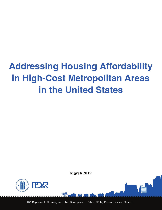# **Addressing Housing Affordability** in High-Cost Metropolitan Areas in the United States

**March 2019** 



U.S. Department of Housing and Urban Development | Office of Policy Development and Research

,,,,,,,,,,,,,,,,,,,,,,,,,,,,,,,,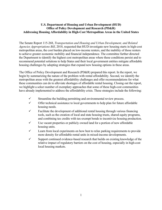## **U.S. Department of Housing and Urban Development (HUD) Office of Policy Development and Research (PD&R) Addressing Housing Affordability in High-Cost Metropolitan Areas in the United States**

The Senate Report 115-268, *Transportation and Housing and Urban Development, and Related Agencies Appropriations Bill*, 2018, requested that HUD investigate new housing starts in high-cost metropolitan areas, the cost burden placed on low-income renters, and the inability of those renters to achieve greater economic mobility and financial independence. The committee further directed the Department to identify the highest cost metropolitan areas where these conditions persist and to recommend potential solutions to help States and their local government entities mitigate affordable housing challenges by adopting strategies that expand new housing options in these areas.

The Office of Policy Development and Research (PD&R) prepared this report. In the report, we begin by summarizing the nature of the problem with rental affordability. Second, we identify the metropolitan areas with the greatest affordability challenges and offer recommendations for what these communities can do to alleviate shortages of affordable rental housing. Closing out the report, we highlight a select number of exemplary approaches that some of these high-cost communities have already implemented to address the affordability crisis. These strategies include the following:

- $\checkmark$  Streamline the building permitting and environmental review process.
- $\checkmark$  Offer technical assistance to local governments to help plan for future affordable housing needs.
- $\checkmark$  Facilitate the development of additional rental housing through various financing tools, such as the creation of local and state housing trusts, shared equity programs, and combining tax credits with tax-exempt bonds to incentivize housing production.
- $\checkmark$  Use vacant properties or publicly owned land for a portion of new affordable housing units.
- $\checkmark$  Learn from local experiments on how best to relax parking requirements to provide more density for affordable rental units in mixed-income developments.
- $\checkmark$  Support continued evidence-based research that builds on existing knowledge of the relative impact of regulatory barriers on the cost of housing, especially in high-cost local housing markets.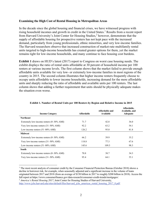#### **Examining the High Cost of Rental Housing in Metropolitan Areas**

In the decade since the global housing and financial crises, we have witnessed progress with rising household incomes and growth in credit in the United States. [1](#page-2-0) Results from a recent report from Harvard University's Joint Center for Housing Studies,<sup>[2](#page-2-1)</sup> however, demonstrate that the supply of affordable housing for prospective renters has not kept pace with the increased demand, particularly from young professionals, ethnic minorities, and very low-income families. The Harvard researchers observe that increased construction of market-rate multifamily rental units targeted to high-income households has created greater options for them, yet the market remains tight for low-income households, and many continue to face housing cost burdens.

**Exhibit 1** draws on HUD's latest (2017) report to Congress on worst case housing needs. The exhibit displays the ratio of rental units affordable at 30 percent of household income per 100 renters at various income levels. The first column shows that the market failed to provide enough affordable units available for very low- or extremely low-income families in most regions of the country in 2015. The second column illustrates that higher income renters frequently choose to occupy units affordable to lower income households, increasing demand for the more affordable units and sharply reducing the ratio of affordable and available units per 100 renters. The last column shows that adding a further requirement that units should be physically adequate makes the situation even worse.

| <b>Income Category</b>                              | <b>Affordable</b> | Affordable and<br>Available | Affordable,<br>Available, and<br>Adequate |
|-----------------------------------------------------|-------------------|-----------------------------|-------------------------------------------|
| <b>Northeast</b>                                    |                   |                             |                                           |
| Extremely low-income renters $(0-30\% \text{ AMI})$ | 71.7              | 42.8                        | 36.0                                      |
| Very low-income renters $(31-50\% \text{ AMI})$     | 92.2              | 63.2                        | 54.1                                      |
| Low-income renters $(51-80\% \text{ AMI})$          | 126.2             | 95.0                        | 81.8                                      |
| <b>Midwest</b>                                      |                   |                             |                                           |
| Extremely low-income renters $(0-30\% \text{ AMI})$ | 66.2              | 39.9                        | 35.2                                      |
| Very low-income renters $(31-50\% \text{ AMI})$     | 118.8             | 77.3                        | 67.6                                      |
| Low-income renters $(51-80\% \text{ AMI})$          | 145.6             | 109.5                       | 98.3                                      |
| <b>South</b>                                        |                   |                             |                                           |
| Extremely low-income renters $(0-30\% \text{ AMI})$ | 70.8              | 38.7                        | 34.3                                      |
| Very low-income renters $(31-50\% \text{ AMI})$     | 95.4              | 64.1                        | 55.1                                      |

#### **Exhibit 1. Number of Rental Units per 100 Renters by Region and Relative Income in 2015**

<span id="page-2-0"></span><sup>1</sup> The most recent analysis of consumer credit by the Consumer Financial Protection Bureau (October 2018) shows a decline in borrower risk, for example, when seasonally adjusted and a significant increase in the volume of loans originated between 2017 and 2018 (from an average of \$150 billion in 2017 to roughly \$200 billion in 2018). Access the full report at https://www.consumerfinance.gov/data-research/consumer-credit-trends/mortgages/. 2 *America's Rental Housing 2017*, Joint Center for Housing Studies of Harvard University,

 $\overline{a}$ 

<span id="page-2-1"></span>[http://www.jchs.harvard.edu/sites/default/files/harvard\\_jchs\\_americas\\_rental\\_housing\\_2017\\_0.pdf.](http://www.jchs.harvard.edu/sites/default/files/harvard_jchs_americas_rental_housing_2017_0.pdf)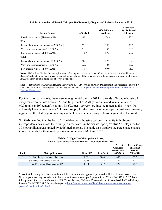| <b>Income Category</b>                              | <b>Affordable</b> | Affordable and<br>Available | Affordable,<br>Available, and<br><b>Adequate</b> |
|-----------------------------------------------------|-------------------|-----------------------------|--------------------------------------------------|
| Low-income renters $(51-80\% \text{ AMI})$          | 142.2             | 104.4                       | 92.6                                             |
| West                                                |                   |                             |                                                  |
| Extremely low-income renters $(0-30\% \text{ AMI})$ | 53.9              | 29.9                        | 26.6                                             |
| Very low-income renters $(31-50\% \text{ AMI})$     | 64.0              | 43.7                        | 38.2                                             |
| Low-income renters $(51-80\% \text{ AMI})$          | 119.9             | 87.6                        | 78.7                                             |
| <b>Total</b>                                        |                   |                             |                                                  |
| Extremely low-income renters $(0-30\% \text{ AMI})$ | 66.0              | 37.7                        | 33.0                                             |
| Very low-income renters $(31-50\% \text{ AMI})$     | 92.9              | 62.0                        | 53.7                                             |
| Low-income renters $(51-80\% \text{ AMI})$          | 135.4             | 99.9                        | 88.7                                             |

#### **Exhibit 1. Number of Rental Units per 100 Renters by Region and Relative Income in 2015**

**Notes:** AMI = Area Median Income. *Affordable* refers to gross rents of less than 30 percent of stated household income. *Available* refers to units being already occupied by households of the stated income or being vacant and available for rent. *Adequate* refers to units being free of severe deficiencies.

**Source**: Tabulations of American Housing Survey data by HUD's Office of Policy Development and Research; exhibits 2-7 and 2-9 of *Worst Case Housing Needs: 2017 Report to Congress* [\(https://www.huduser.gov/portal/publications/Worst-Case-](https://www.huduser.gov/portal/publications/Worst-Case-Housing-Needs.html)[Housing-Needs.html\)](https://www.huduser.gov/portal/publications/Worst-Case-Housing-Needs.html).

For the nation as a whole, there were enough rental units in 2015 to provide affordable housing for every renter household between 50 and 80 percent of AMI (affordable and available ratio of 99.9 units per 100 renters), but only for 62.0 per 100 very low-income renters and 37.7 per 100 extremely low-income renters.<sup>[3](#page-3-0)</sup> Housing supply for the lower income groups is constrained in every region, but the challenge of locating available affordable housing options is greatest in the West.

Similarly, we find that the lack of affordable rental housing options is a reality in high-cost metropolitan areas across the country. As requested in the Senate report, **exhibit 2** displays the top 30 metropolitan areas ranked by 2016 median rents. The table also displays the percentage change in median rents for these metropolitan areas between 2005 and 2016.

#### **Exhibit 2. High-Cost Metropolitan Areas, Ranked by Monthly Median Rent for 2-Bedroom Units, 2016**

| Rank | Metropolitan Area                  | <b>Rent 2005</b> | <b>Rent 2016</b> | Percent<br>Change in<br><b>Median Rent,</b><br>2005-2016 | <b>Percent Change</b><br>in Median<br>Income,<br>2005-2016 |
|------|------------------------------------|------------------|------------------|----------------------------------------------------------|------------------------------------------------------------|
|      | San Jose-Sunnyvale-Santa Clara, CA | 1.208            | 2.044            | 69.2                                                     | 37.7                                                       |
|      | San Francisco-Oakland-Hayward, CA  | 1.135            | 1.757            | 54.8                                                     | 41.2                                                       |
|      | Oxnard-Thousand Oaks-Ventura, CA   | 1.181            | 1.647            | 39.5                                                     | 22.4                                                       |

<span id="page-3-0"></span><sup>3</sup> Note that this analysis reflects a well-established measurement approach presented in HUD's biennial Worst Case Needs reports to Congress. Also note that median incomes were up 4.0 percent from 2016 to \$61,372 in 2017. For a fuller picture of income trends, see the U.S. Census Bureau, "Selected Characteristics of Households by Total Money Income, Table HINC-01." Access the report a[t https://www.census.gov/data/tables/time-series/demo/income](https://www.census.gov/data/tables/time-series/demo/income-poverty/cps-hinc/hinc-01.html)[poverty/cps-hinc/hinc-01.html.](https://www.census.gov/data/tables/time-series/demo/income-poverty/cps-hinc/hinc-01.html)

 $\overline{a}$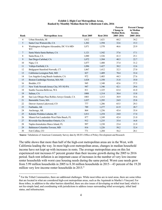| Rank           | <b>Metropolitan Area</b>                         | <b>Rent 2005</b> | <b>Rent 2016</b> | Percent<br>Change in<br><b>Median Rent,</b><br>2005-2016 | <b>Percent Change</b><br>in Median<br>Income,<br>2005-2016 |
|----------------|--------------------------------------------------|------------------|------------------|----------------------------------------------------------|------------------------------------------------------------|
| $\overline{4}$ | Urban Honolulu, HI                               | 1,012            | 1,621            | 60.2                                                     | 34.2                                                       |
| 5              | Santa Cruz-Watsonville, CA                       | 1,202            | 1,594            | 32.6                                                     | 15.3                                                       |
| 6              | Washington-Arlington-Alexandria, DC-VA-MD-<br>WV | 1,071            | 1,570            | 46.6                                                     | 25.9                                                       |
| $\tau$         | Santa Maria-Santa Barbara, CA                    | 1,121            | 1,542            | 37.6                                                     | 17.1                                                       |
| 8              | Santa Rosa, CA                                   | 1,080            | 1,526            | 41.3                                                     | 25.1                                                       |
| 9              | San Diego-Carlsbad, CA                           | 1,072            | 1,504            | 40.3                                                     | 22.7                                                       |
| 10             | Napa, CA                                         | 1,077            | 1,480            | 37.4                                                     | 31.2                                                       |
| 11             | Vallejo-Fairfield, CA                            | 1,096            | 1,427            | 30.2                                                     | 12.6                                                       |
| 12             | Bridgeport-Stamford-Norwalk, CT                  | 1,067            | 1,412            | 32.3                                                     | 27.0                                                       |
| 13             | California-Lexington Park, MD                    | 827              | 1,409            | 70.4                                                     | 33.4                                                       |
| 14             | Los Angeles-Long Beach-Anaheim, CA               | 972              | 1,403            | 44.3                                                     | 27.6                                                       |
| 15             | Boston-Cambridge-Newton, MA-NH                   | 1,024            | 1,350            | 31.8                                                     | 35.0                                                       |
| 16             | Boulder, CO                                      | 945              | 1,348            | 42.6                                                     | 37.5                                                       |
| 17             | New York-Newark-Jersey City, NY-NJ-PA            | 947              | 1,346            | 42.1                                                     | 29.6                                                       |
| 18             | Seattle-Tacoma-Bellevue, WA                      | 811              | 1,325            | 63.4                                                     | 41.0                                                       |
| 19             | Salinas, CA                                      | 1008             | 1,314            | 30.4                                                     | 15.8                                                       |
| 20             | San Luis Obispo-Paso Robles-Arroyo Grande, CA    | 1003             | 1,313            | 30.9                                                     | 35.6                                                       |
| 21             | Barnstable Town, MA                              | 1,037            | 1,295            | 24.9                                                     | 25.8                                                       |
| 22             | Denver-Aurora-Lakewood, CO                       | 777              | 1,286            | 65.5                                                     | 29.3                                                       |
| 23             | Fairbanks, AK                                    | 789              | 1,277            | 61.9                                                     | 28.7                                                       |
| 24             | Anchorage, AK                                    | 864              | 1,256            | 45.4                                                     | 35.4                                                       |
| 25             | Kahului-Wailuku-Lahaina, HI                      | 1,011            | 1,254            | 24.0                                                     | 17.4                                                       |
| 26             | Miami-Fort Lauderdale-West Palm Beach, FL        | 877              | 1,249            | 42.4                                                     | 21.0                                                       |
| 27             | Riverside-San Bernardino-Ontario, CA             | 912              | 1,235            | 35.4                                                     | 16.8                                                       |
| 28             | Naples-Immokalee-Marco Island, FL                | 997              | 1,230            | 23.4                                                     | 21.9                                                       |
| 29             | Baltimore-Columbia-Towson, MD                    | 816              | 1,226            | 50.2                                                     | 32.4                                                       |
| 30             | Fort Collins, CO                                 | 771              | 1,204            | 56.2                                                     | 28.1                                                       |

#### **Exhibit 2. High-Cost Metropolitan Areas, Ranked by Monthly Median Rent for 2-Bedroom Units, 2016**

**Source**: Tabulations of American Community Survey data by HUD's Office of Policy Development and Research

 $\overline{a}$ 

The table shows that more than half of the high-cost metropolitan areas are in the West, with California leading the way. In most high-cost metropolitan areas, changes in median household income have not kept up with increases in rents. The average metropolitan area on this list experienced rent increases 67 percent greater than their income growth during the 2005 to 2016 period. Such rent inflation is an important cause of increases in the number of very low-income renter households with worst case housing needs during the same period. Worst case needs grew from 5.99 million households in 2005 to 8.30 million households in 2015—43 percent of the 19.20 million very low-income renter households in 2015.<sup>[4](#page-4-0)</sup>

<span id="page-4-0"></span><sup>&</sup>lt;sup>4</sup> For the Tribal Communities, there are additional challenges. While most tribes are in rural areas, there are some tribes that are located in what are considered high-cost metropolitan areas, such as the Aquinnah in Martha's Vineyard. For those tribes, in addition to the other barriers identified, there are also issues of developing on tribal trust land, which is not fee-simple land, and coordinating with jurisdictions to address issues surrounding tribal sovereignty, tribal land status, and infrastructure.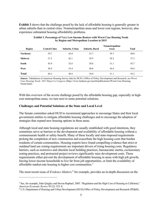**Exhibit 3** shows that the challenge posed by the lack of affordable housing is generally greater in urban suburbs than in central cities. Nonmetropolitan areas and lower cost regions, however, also experience substantial housing affordability problems.

| <b>Region</b>    | <b>Central Cities</b> | Suburbs, Urban | <b>Suburbs, Rural</b> | <b>Nonmetropolitan</b><br><b>Areas</b> | <b>Total</b> |
|------------------|-----------------------|----------------|-----------------------|----------------------------------------|--------------|
| <b>Northeast</b> | 39.7                  | 43.0           | 33.7                  | 29.7                                   | 40.0         |
| <b>Midwest</b>   | 37.3                  | 42.1           | 39.5                  | 29.2                                   | 37.3         |
| <b>South</b>     | 45.9                  | 52.6           | 30.8                  | 31.1                                   | 43.7         |
| West             | 50.9                  | 55.4           | 40.0                  | 36.4                                   | 50.4         |
| <b>Total</b>     | 44.2                  | 48.8           | 34.8                  | 31.1                                   | 43.2         |

**Exhibit 3. Percentage of Very Low-Income Renters with Worst Case Housing Needs by Region and Metropolitan Location in 2015**

**Source**: Tabulations of American Housing Survey data by HUD's Office of Policy Development and Research; see *Worst Case Housing Needs: 2017 Report to Congress* (https://www.huduser.gov/portal/publications/Worst-Case-Housing-Needs.html)

With this overview of the severe challenge posed by the affordable housing gap, especially in highcost metropolitan areas, we turn next to some potential solutions.

#### **Challenges and Potential Solutions at the State and Local Level**

 $\overline{a}$ 

The Senate committee asked HUD to recommend approaches to encourage States and their local government entities to mitigate affordable housing challenges and to encourage the adoption of strategies that expand new housing options in these areas.

Although local and state housing regulations are usually established with good intentions, they sometimes serve as barriers to the development and availability of affordable housing without a commensurate health or safety benefit. Many of these locally and state-imposed requirements prolong the completion of new construction and exacerbate the high housing costs that burden residents of certain communities. Housing experts have found compelling evidence that strict or outdated land use zoning requirements are important drivers of rising housing costs. Regulatory barriers, such as restrictive and obsolete local building practices, bureaucratic inertia, exclusionary zoning practices, and protracted project reviews significantly raise development costs. These requirements either prevent the development of affordable housing in areas with high job growth, forcing lower income households to live far from job opportunities, or limit the availability of affordable market-rate housing in higher cost communities.<sup>[5](#page-5-0)</sup>

The most recent issue of *Evidence Matters,* [6](#page-5-1) for example, provides an in-depth discussion on the

<span id="page-5-0"></span><sup>&</sup>lt;sup>5</sup> See, for example, John Quigley and Steven Raphael. 2005. "Regulation and the High Cost of Housing in California," *American Economic Review* 95 (2): 323–8.

<span id="page-5-1"></span><sup>6</sup> U.S. Department of Housing and Urban Development (HUD) Office of Policy Development and Research (PD&R).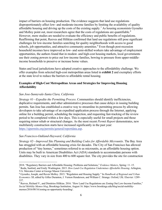impact of barriers on housing production. The evidence suggests that land use regulations disproportionately affect low- and moderate-income families by limiting the availability of quality affordable housing and driving up the costs of the existing supply.<sup>[7](#page-6-0)</sup> As housing economists Gyourko and Molloy point out, most researchers agree that the costs of regulations are quantifiable. $^8$  $^8$ However, more studies are needed to evaluate the efficiency and public benefits of regulations. Reaffirming that point, Reeves and Hilikias confirmed that land use regulations still pose significant challenges for low-income families searching for quality neighborhoods with access to good schools, job opportunities, and attractive community amenities.<sup>[9](#page-6-2)</sup> Even though post-recession household incomes have improved as low- and semi-skilled workers take advantage of employment opportunities, the authors found that in modest- and high-cost housing markets, local governments use their zoning powers to price out low-income families, bowing to pressure from upper-middleincome households to preserve or increase home values.

States and local jurisdictions have adopted creative approaches to the affordability challenge. We offer examples from selected high-cost metropolitan areas listed in **exhibit 2** and exemplary efforts at the state level to reduce the barriers to affordable rental housing.

#### **Examples of High-Cost Metropolitan Areas and Strategies for Improving Housing Affordability**

## *San Jose-Sunnyvale-Santa Clara, California*

*Strategy #1—Expedite the Permitting Process*. Communities should identify inefficiencies, duplicative requirements, and other administrative processes that cause delays in issuing building permits. San Jose has established a creative way to streamline its permitting process by allowing developers to take advantage of an expedited application process through the Internet, applying online for a building permit, scheduling the inspection, and requesting fast-tracking of the review period to be completed within a few days. This is especially useful for small projects and those requiring minor rehab or structural changes. As the most recent *Permit Report* demonstrates, new multifamily construction starts have increased significantly in the past year: [https://sjpermits.org/permits/general/reportdata.asp.](https://sjpermits.org/permits/general/reportdata.asp)

## *San Francisco-Oakland-Hayward, California*

 $\overline{a}$ 

*Strategy #2—Improved Site Planning and Building Codes for Affordable Microunits*. The Bay Area has struggled with an affordable housing crisis for decades. The City of San Francisco has allowed production of "tiny homes," sometimes referred to as microunits, as an affordable housing option. Units may be built to American Disabilities Act (ADA) standards to accommodate persons with disabilities. They vary in size from 400 to 600 square feet. The city provides the site for construction

<span id="page-6-0"></span><sup>2018. &</sup>quot;Regulatory Barriers and Affordable Housing: Problems and Solutions," *Evidence Matters*, Spring: 11–15. <sup>7</sup> Ikeda, Sanford, and Emily Washington. 2015. *[How Land-Use Regulation Undermines Affordable Housing](https://www.mercatus.org/system/files/Ikeda-Land-Use-Regulation.pdf)*. Arlington, VA: Mercatus Center at George Mason University.

<span id="page-6-1"></span><sup>8</sup> Gyourko, Joseph, and Raven Molloy. 2015. ["Regulation and Housing Supply."](https://faculty.wharton.upenn.edu/wp-content/uploads/2017/05/Regulation-and-Housing-Supply-1.pdf) In *Handbook of Regional and Urban Economics 5B*, edited by Gilles Duranton, J. Vernon Henderson, and William C. Strange. Oxford, UK: Elsevier: 1289– 337.

<span id="page-6-2"></span><sup>&</sup>lt;sup>9</sup> Reeves, Richard V., and Dimitrios Hilikias. 2016. "How Land Use Regulations are Zoning Out Low-Income Families," *Social Mobility Memos blog*, Brookings Institution, August 16. https://www.brookings.edu/blog/social-mobilitymemos/2016/08/16/zoning-as-opportunity-hoarding/.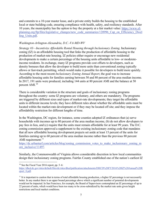and commits to a 10-year master lease, and a private entity builds the housing to the established local or state building code, ensuring compliance with health, safety, and resiliency standards. After 10 years, the municipality has the option to buy the property at a fair market value: [https://www.sf](https://www.sf-planning.org/ftp/files/legislative_changes/new_code_summaries/120996_Cap_on_Efficiency_Dwelling_Units.pdf)[planning.org/ftp/files/legislative\\_changes/new\\_code\\_summaries/120996\\_Cap\\_on\\_Efficiency\\_Dwel](https://www.sf-planning.org/ftp/files/legislative_changes/new_code_summaries/120996_Cap_on_Efficiency_Dwelling_Units.pdf) ling Units.pdf.

## *Washington-Arlington-Alexandria, D.C.-VA-MD-WV*

*Strategy #3—Incentivize Affordable Rental Housing through Inclusionary Zoning*. Inclusionary zoning (IZ) is an affordable housing tool that links the production of affordable housing to the production of market-rate housing. IZ policies either require or encourage new residential developments to make a certain percentage of the housing units affordable to low- or moderateincome residents. In exchange, many IZ programs provide cost offsets to developers, such as density bonuses that allow the developer to build more units than conventional zoning typically allows or fast-track permitting, which would make it possible for developers to build more quickly. According to the most recent *Inclusionary Zoning Annual Report*, the goal was to increase affordable housing units for families earning between 50 and 80 percent of the area median income. In 2017, 191 units were produced, including 144 units at 80 percent AMI and the balance at 50 percent AMI.[10](#page-7-0)

There is considerable variation in the structure and goals of inclusionary zoning programs throughout the country: some IZ programs are voluntary, and others are mandatory. The programs are triggered by different sizes and types of market-rate developments; they target the affordable units to different income levels; they have different rules about whether the affordable units must be located within the market-rate development or if they may be located off site; and they impose the affordability restriction for different lengths of time.

In the Washington, DC region, for instance, some counties adopted IZ ordinances that (a) serve households with incomes up to 80 percent of the area median income, (b) do not allow developers to pay fees in lieu, and (c) require that the units must remain affordable for at least 99 years. The D.C. zoning commission approved a supplement to the existing inclusionary zoning code that mandates that all new affordable housing development projects set aside at least 15 percent of the units for families earning up to 60 percent of the area median income rather than the previous 80 percent AMI requirement:<sup>11</sup>

[https://dc.urbanturf.com/articles/blog/zoning\\_commission\\_votes\\_to\\_make\\_inclusionary\\_zoning\\_m](https://dc.urbanturf.com/articles/blog/zoning_commission_votes_to_make_inclusionary_zoning_more_inclusive/11497) [ore\\_inclusive/11497.](https://dc.urbanturf.com/articles/blog/zoning_commission_votes_to_make_inclusionary_zoning_more_inclusive/11497)

Similarly, the Commonwealth of Virginia allows considerable discretion in how local communities design their inclusionary zoning programs. Fairfax County established one of the nation's earliest IZ

 $\overline{a}$ <sup>10</sup> See the Fiscal Year 2016 report, pp.  $5-6$ :

<span id="page-7-0"></span>[https://dhcd.dc.gov/sites/default/files/dc/sites/dhcd/publication/attachments/DHCD%20FY2016%20IZ%20Annual%20R](https://dhcd.dc.gov/sites/default/files/dc/sites/dhcd/publication/attachments/DHCD%20FY2016%20IZ%20Annual%20Report_0.pdf) [eport\\_0.pdf.](https://dhcd.dc.gov/sites/default/files/dc/sites/dhcd/publication/attachments/DHCD%20FY2016%20IZ%20Annual%20Report_0.pdf)

<span id="page-7-1"></span> $11$  It is important to caution that in terms of total affordable housing production, a higher IZ percentage is not necessarily better. In any market there is an upper bound percentage above which a significant number of potential developments would not be impacted. In San Francisco, for example, the Board of Supervisors contemplated an IZ percentage of up to 22 percent of units, which would have been too many to be cross-subsidized by the market rate units given height restrictions and local market conditions.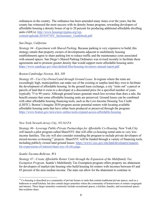ordinances in the country. The ordinance has been amended many times over the years, but the county has witnessed the most success with its density bonus program, rewarding developers of affordable housing a density bonus of up to 20 percent for producing additional affordable dwelling units (ADUs): [http://www.housingvirginia.org/wp](http://www.housingvirginia.org/wp-content/uploads/2018/07/HV_Inclusionary_Guidebook.pdf)[content/uploads/2018/07/HV\\_Inclusionary\\_Guidebook.pdf.](http://www.housingvirginia.org/wp-content/uploads/2018/07/HV_Inclusionary_Guidebook.pdf)

## *San Diego, California*

*Strategy #4—Experiment with Shared Parking*. Because parking is very expensive to build, this strategy entails that property owners of developments adjacent to multifamily housing establishments agree to share parking lots to reduce traffic and the maintenance costs associated with unused spaces. San Diego's Shared Parking Ordinance was revised recently to facilitate these agreements and to promote greater density that would support more affordable housing units: [https://www.sandiego.gov/sites/default/files/housing-inventory-annual-report.pdf.](https://www.sandiego.gov/sites/default/files/housing-inventory-annual-report.pdf)

## *Boston-Cambridge-Newton, MA, NH*

*Strategy #5—Use City-Owned Land through Ground Lease*. In regions where the rents are exceedingly high, municipalities can make use of the existing or surplus land they own to facilitate the development of affordable housing. In the ground lease exchange, a city "rents out" a parcel or parcels of land that it owns to a developer at a discounted price for a specified number of years (typically 75 to 99 years). Although ground leases generate much less revenue than does a sale, the benefit ensures that some affordable housing units are preserved. Ground leases can be combined with other affordable housing financing tools, such as the Low-Income Housing Tax Credit (LIHTC). Boston's Imagine 2030 program assists potential renters with locating available affordable housing units that have either been produced or preserved through the program: [https://www.boston.gov/news/new-online-tools-expand-access-affordable-housing.](https://www.boston.gov/news/new-online-tools-expand-access-affordable-housing)

## *New York-Newark-Jersey City, NY-NJ-PA*

*Strategy #6—Leverage Public-Private Partnerships for Affordable Co-Housing*. New York City will launch a pilot program called ShareNYC that will offer co-housing rental units to very lowincome families. The city will also consider extending the program to include private developers of mixed-income co-housing<sup>[12](#page-8-0)</sup> projects. Share NYC will be funded through a variety of financing tools, including publicly owned land ground leases: [https://www1.nyc.gov/site/hpd/developers/request](https://www1.nyc.gov/site/hpd/developers/request-for-expressions-of-interest/share-nyc-rfi-rfei.page)[for-expressions-of-interest/share-nyc-rfi-rfei.page.](https://www1.nyc.gov/site/hpd/developers/request-for-expressions-of-interest/share-nyc-rfi-rfei.page)

## *Seattle-Tacoma-Bellevue, WA*

*Strategy #7—Create Affordable Renter Units through the Expansion of the Multifamily Tax Exemption Program*. Seattle's Multifamily Tax Exemption program offers property tax abatement for developers of market-rate housing who build housing for renters with incomes between 65 and 85 percent of the area median income. The state can allow for the abatement to continue in

<span id="page-8-0"></span> $\overline{a}$  $12$  Co-housing is described as a community of private homes or units that contain traditional private spaces, such as a bathroom or small kitchen, but also contain larger amenities where the community of homeowners or renters congregate and interact. These larger amenities commonly include recreational spaces, a kitchen, laundry, and recreational spaces that residents share.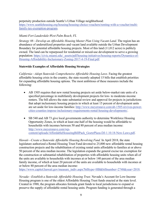perpetuity production outside Seattle's Urban Village neighborhood: [https://www.seattlehousing.org/housing/housing-choice-vouchers/renting-with-a-voucher/multi](https://www.seattlehousing.org/housing/housing-choice-vouchers/renting-with-a-voucher/multi-family-tax-exemption-program)[family-tax-exemption-program.](https://www.seattlehousing.org/housing/housing-choice-vouchers/renting-with-a-voucher/multi-family-tax-exemption-program)

# *Miami-Fort Lauderdale-West Palm Beach, FL*

*Strategy #8—Develop an Affordable Housing Master Plan Using Vacant Land*. The region has an abundance of underutilized properties and vacant land available outside the Urban Development Boundary for potential affordable housing projects. Most of this land (11,012 acres) is publicly owned. The land can be repurposed for residential or mixed-use development to serve a growing population: [https://civic.miami.edu/\\_assets/pdf/housing-initiatives/housing-reports/Dynamics-of-](https://civic.miami.edu/_assets/pdf/housing-initiatives/housing-reports/Dynamics-of-Housing-Affordability-Inclusionary-Zoning-2017-4-19-Final.pdf)[Housing-Affordability-Inclusionary-Zoning-2017-4-19-Final.pdf.](https://civic.miami.edu/_assets/pdf/housing-initiatives/housing-reports/Dynamics-of-Housing-Affordability-Inclusionary-Zoning-2017-4-19-Final.pdf)

# **Statewide Examples of Affordable Housing Strategies**

*California—Adopt Statewide Comprehensive Affordable Housing Laws.* Facing the greatest affordable housing crisis in the country, the state recently adopted 15 bills that establish priorities for expanding affordable housing options. The most ambitious of these measures include the following:

- AB 1505 requires that new rental housing projects set aside below-market rate units of a specified percentage in multifamily development projects for low- to moderate-income renters. The bill allows the state substantial review and approval for projects in jurisdictions that adopt inclusionary housing projects in which at least 15 percent of development units are set aside for low-income families: [http://www.meyersnave.com/ab-1505-revives-power](http://www.meyersnave.com/ab-1505-revives-power-cities-counties-impose-inclusionary-requirements-rental-housing-developments/)[cities-counties-impose-inclusionary-requirements-rental-housing-developments/.](http://www.meyersnave.com/ab-1505-revives-power-cities-counties-impose-inclusionary-requirements-rental-housing-developments/)
- SB 540 and AB 73 give local governments authority to determine Workforce Housing Opportunity Zones, in which at least one-half of the housing would be affordable to households with incomes between 50 and 80 percent of area median income: [http://www.meyersnave.com/wp](http://www.meyersnave.com/wp-content/uploads/AffordableHouseingBillPack_GoetzPlaza-DJ-1.10.18-New-Laws.pdf)[content/uploads/AffordableHouseingBillPack\\_GoetzPlaza-DJ-1.10.18-New-Laws.pdf.](http://www.meyersnave.com/wp-content/uploads/AffordableHouseingBillPack_GoetzPlaza-DJ-1.10.18-New-Laws.pdf)

*Hawaii—Create a Statewide Affordable Housing Revolving Fund.* In April 2018, the state legislature authorized a Rental Housing Trust Fund devoted to 25,000 new affordable rental housing construction projects and the rehabilitation of existing rental units affordable to families at or above 50 percent of the area median income. The legislation expands the general excise tax exemption for the construction or substantial rehabilitation of properties with affordable housing units when all of the units are available to households with incomes at or below 140 percent of the area median family income, of which at least 20 percent of the units are available to households with incomes at or below 80 percent of the area median income:

[https://www.capitol.hawaii.gov/measure\\_indiv.aspx?billtype=HB&billnumber=2748&year=2018.](https://www.capitol.hawaii.gov/measure_indiv.aspx?billtype=HB&billnumber=2748&year=2018)

*Nevada—Establish a Statewide Affordable Housing Trust.* Nevada's Account for Low-Income Housing program is one of the oldest Affordable Housing Trust funds enacted at the state level. Created in 1988, the program allocates formula grant funds to local jurisdictions to expand or preserve the supply of affordable rental housing units. Program funding is generated through a